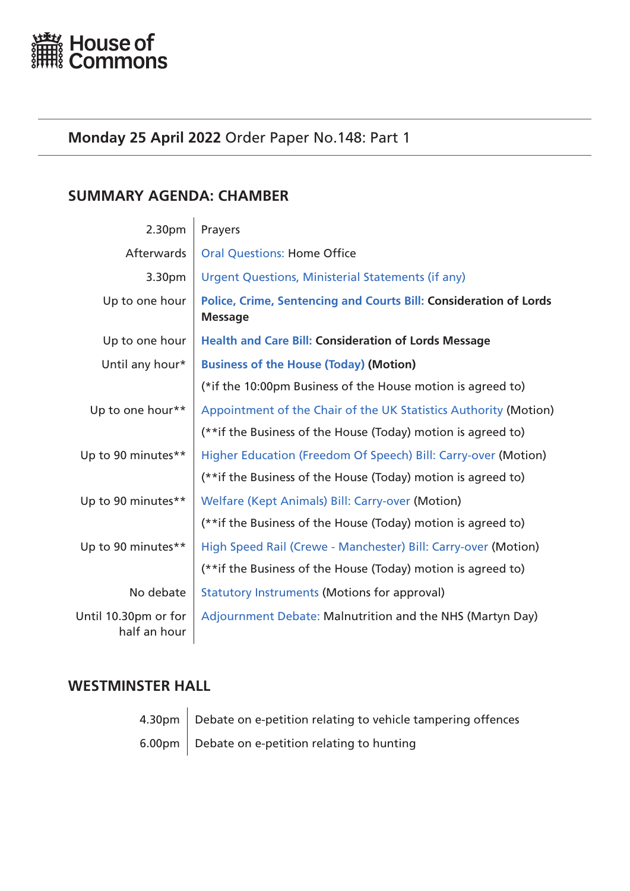<span id="page-0-0"></span>

# **Monday 25 April 2022** Order Paper No.148: Part 1

# **SUMMARY AGENDA: CHAMBER**

| 2.30pm                               | Prayers                                                                             |  |
|--------------------------------------|-------------------------------------------------------------------------------------|--|
| Afterwards                           | <b>Oral Questions: Home Office</b>                                                  |  |
| 3.30pm                               | <b>Urgent Questions, Ministerial Statements (if any)</b>                            |  |
| Up to one hour                       | Police, Crime, Sentencing and Courts Bill: Consideration of Lords<br><b>Message</b> |  |
| Up to one hour                       | <b>Health and Care Bill: Consideration of Lords Message</b>                         |  |
| Until any hour*                      | <b>Business of the House (Today) (Motion)</b>                                       |  |
|                                      | (*if the 10:00pm Business of the House motion is agreed to)                         |  |
| Up to one hour**                     | Appointment of the Chair of the UK Statistics Authority (Motion)                    |  |
|                                      | (**if the Business of the House (Today) motion is agreed to)                        |  |
| Up to 90 minutes**                   | Higher Education (Freedom Of Speech) Bill: Carry-over (Motion)                      |  |
|                                      | (**if the Business of the House (Today) motion is agreed to)                        |  |
| Up to 90 minutes**                   | Welfare (Kept Animals) Bill: Carry-over (Motion)                                    |  |
|                                      | (**if the Business of the House (Today) motion is agreed to)                        |  |
| Up to 90 minutes**                   | High Speed Rail (Crewe - Manchester) Bill: Carry-over (Motion)                      |  |
|                                      | (**if the Business of the House (Today) motion is agreed to)                        |  |
| No debate                            | <b>Statutory Instruments (Motions for approval)</b>                                 |  |
| Until 10.30pm or for<br>half an hour | Adjournment Debate: Malnutrition and the NHS (Martyn Day)                           |  |

# **WESTMINSTER HALL**

 $4.30 \text{pm}$  Debate on e-petition relating to vehicle tampering offences 6.00pm  $\vert$  Debate on e-petition relating to hunting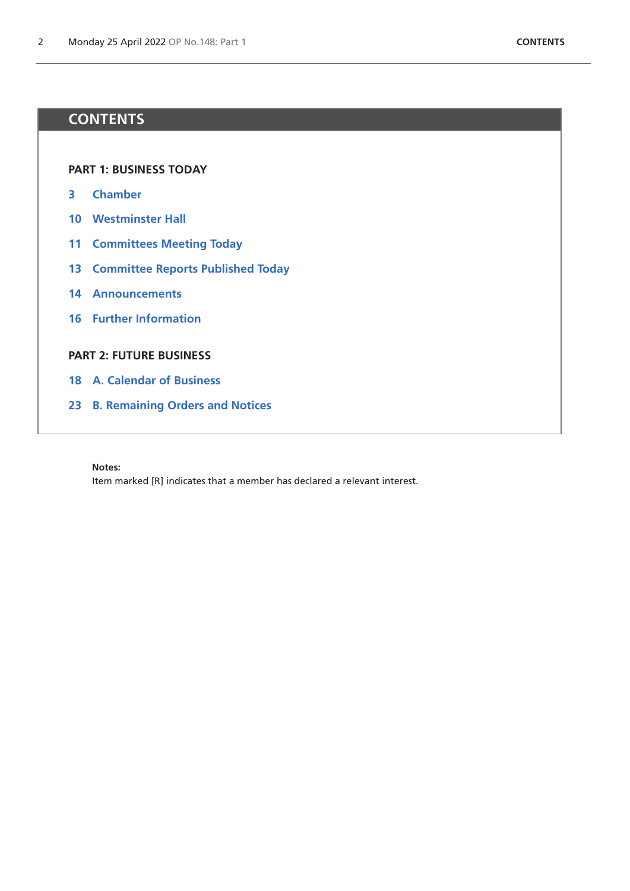# **CONTENTS**

**[PART 1: BUSINESS TODAY](#page-0-0)**

- **[Chamber](#page-2-1)**
- **[Westminster Hall](#page-9-0)**
- **[Committees Meeting Today](#page-10-0)**
- **[Committee Reports Published Today](#page-12-0)**
- **[Announcements](#page-13-0)**
- **[Further Information](#page-15-0)**

# **[PART 2: FUTURE BUSINESS](#page-16-0)**

- **[A. Calendar of Business](#page-17-0)**
- **[B. Remaining Orders and Notices](#page-22-0)**

**Notes:**

Item marked [R] indicates that a member has declared a relevant interest.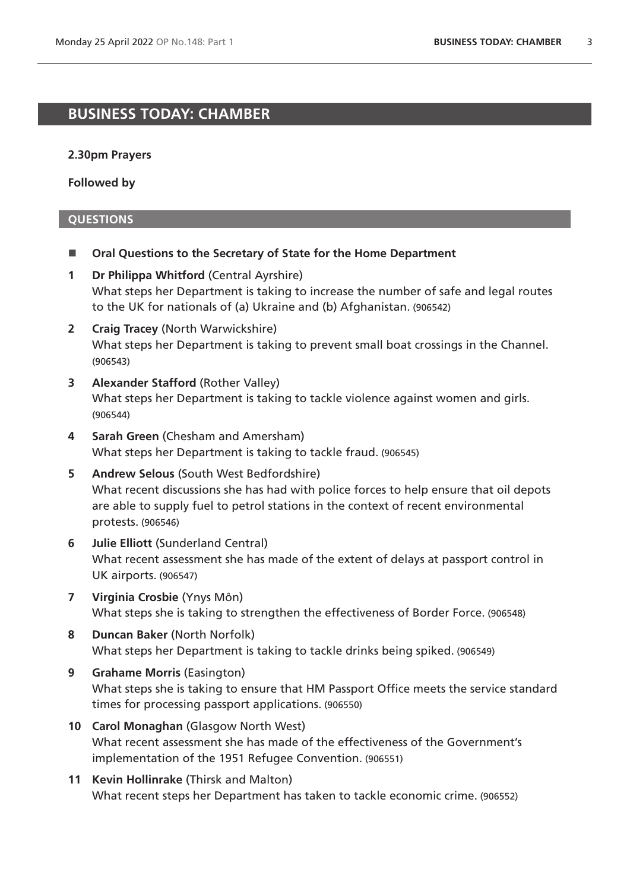# <span id="page-2-1"></span>**BUSINESS TODAY: CHAMBER**

### **2.30pm Prayers**

**Followed by**

# <span id="page-2-0"></span>**QUESTIONS**

- **Oral Questions to the Secretary of State for the Home Department**
- **1 Dr Philippa Whitford** (Central Ayrshire) What steps her Department is taking to increase the number of safe and legal routes to the UK for nationals of (a) Ukraine and (b) Afghanistan. (906542)
- **2 Craig Tracey** (North Warwickshire) What steps her Department is taking to prevent small boat crossings in the Channel. (906543)
- **3 Alexander Stafford** (Rother Valley) What steps her Department is taking to tackle violence against women and girls. (906544)
- **4 Sarah Green** (Chesham and Amersham) What steps her Department is taking to tackle fraud. (906545)
- **5 Andrew Selous** (South West Bedfordshire) What recent discussions she has had with police forces to help ensure that oil depots are able to supply fuel to petrol stations in the context of recent environmental protests. (906546)
- **6 Julie Elliott** (Sunderland Central) What recent assessment she has made of the extent of delays at passport control in UK airports. (906547)
- **7 Virginia Crosbie** (Ynys Môn) What steps she is taking to strengthen the effectiveness of Border Force. (906548)
- **8 Duncan Baker** (North Norfolk) What steps her Department is taking to tackle drinks being spiked. (906549)
- **9 Grahame Morris** (Easington) What steps she is taking to ensure that HM Passport Office meets the service standard times for processing passport applications. (906550)
- **10 Carol Monaghan** (Glasgow North West) What recent assessment she has made of the effectiveness of the Government's implementation of the 1951 Refugee Convention. (906551)
- **11 Kevin Hollinrake** (Thirsk and Malton) What recent steps her Department has taken to tackle economic crime. (906552)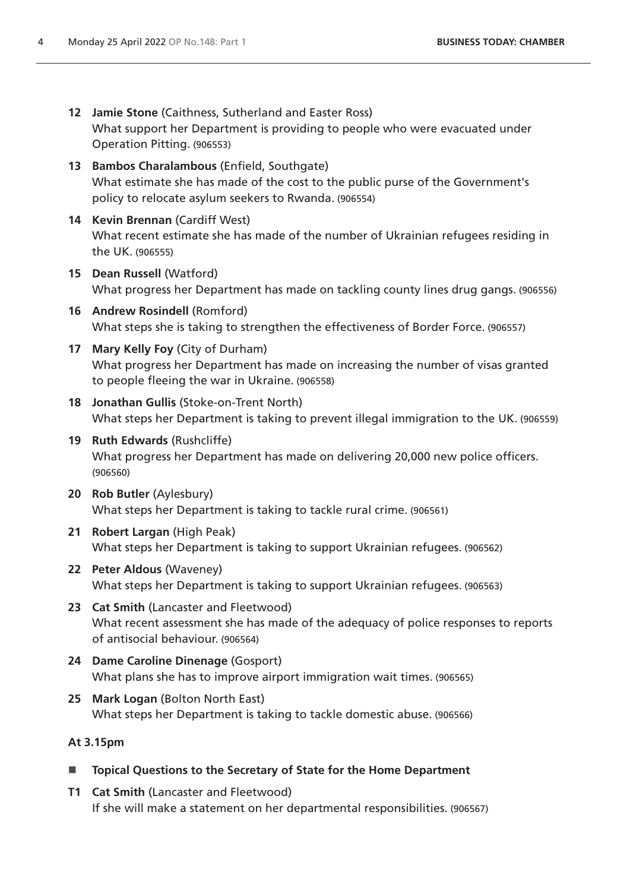- **12 Jamie Stone** (Caithness, Sutherland and Easter Ross) What support her Department is providing to people who were evacuated under Operation Pitting. (906553)
- **13 Bambos Charalambous** (Enfield, Southgate) What estimate she has made of the cost to the public purse of the Government's policy to relocate asylum seekers to Rwanda. (906554)
- **14 Kevin Brennan** (Cardiff West) What recent estimate she has made of the number of Ukrainian refugees residing in the UK. (906555)
- **15 Dean Russell** (Watford) What progress her Department has made on tackling county lines drug gangs. (906556)
- **16 Andrew Rosindell** (Romford) What steps she is taking to strengthen the effectiveness of Border Force. (906557)
- **17 Mary Kelly Foy** (City of Durham) What progress her Department has made on increasing the number of visas granted to people fleeing the war in Ukraine. (906558)
- **18 Jonathan Gullis** (Stoke-on-Trent North) What steps her Department is taking to prevent illegal immigration to the UK. (906559)
- **19 Ruth Edwards** (Rushcliffe) What progress her Department has made on delivering 20,000 new police officers. (906560)
- **20 Rob Butler** (Aylesbury) What steps her Department is taking to tackle rural crime. (906561)
- **21 Robert Largan** (High Peak) What steps her Department is taking to support Ukrainian refugees. (906562)
- **22 Peter Aldous** (Waveney) What steps her Department is taking to support Ukrainian refugees. (906563)
- **23 Cat Smith** (Lancaster and Fleetwood) What recent assessment she has made of the adequacy of police responses to reports of antisocial behaviour. (906564)
- **24 Dame Caroline Dinenage** (Gosport) What plans she has to improve airport immigration wait times. (906565)
- **25 Mark Logan** (Bolton North East) What steps her Department is taking to tackle domestic abuse. (906566)

# **At 3.15pm**

- **Topical Questions to the Secretary of State for the Home Department**
- **T1 Cat Smith** (Lancaster and Fleetwood) If she will make a statement on her departmental responsibilities. (906567)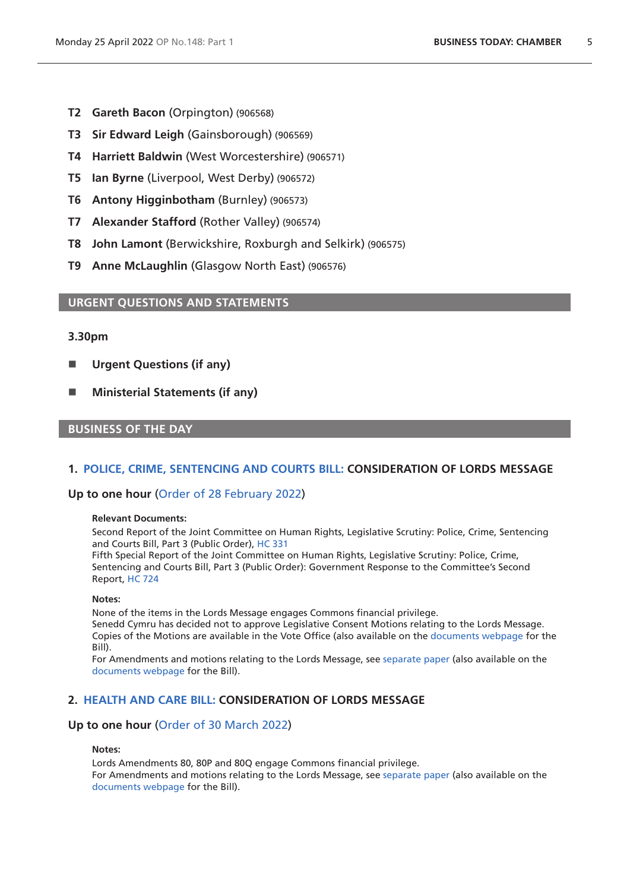- **T2 Gareth Bacon** (Orpington) (906568)
- **T3 Sir Edward Leigh** (Gainsborough) (906569)
- **T4 Harriett Baldwin** (West Worcestershire) (906571)
- **T5 Ian Byrne** (Liverpool, West Derby) (906572)
- **T6 Antony Higginbotham** (Burnley) (906573)
- **T7 Alexander Stafford** (Rother Valley) (906574)
- **T8 John Lamont** (Berwickshire, Roxburgh and Selkirk) (906575)
- **T9 Anne McLaughlin** (Glasgow North East) (906576)

# <span id="page-4-0"></span>**URGENT QUESTIONS AND STATEMENTS**

# **3.30pm**

- **Urgent Questions (if any)**
- Ministerial Statements (if any)

# **BUSINESS OF THE DAY**

# <span id="page-4-1"></span>**1. [POLICE, CRIME, SENTENCING AND COURTS BILL:](https://publications.parliament.uk/pa/bills/cbill/58-02/0298/210298v1.pdf) CONSIDERATION OF LORDS MESSAGE**

# **Up to one hour** ([Order of 28 February 2022](https://commonsbusiness.parliament.uk/document/54741/pdf))

### **Relevant Documents:**

Second Report of the Joint Committee on Human Rights, Legislative Scrutiny: Police, Crime, Sentencing and Courts Bill, Part 3 (Public Order), [HC 331](https://committees.parliament.uk/publications/6367/documents/69842/default/)

Fifth Special Report of the Joint Committee on Human Rights, Legislative Scrutiny: Police, Crime, Sentencing and Courts Bill, Part 3 (Public Order): Government Response to the Committee's Second Report, [HC 724](https://committees.parliament.uk/publications/7547/documents/79447/default/)

#### **Notes:**

None of the items in the Lords Message engages Commons financial privilege.

Senedd Cymru has decided not to approve Legislative Consent Motions relating to the Lords Message. Copies of the Motions are available in the Vote Office (also available on the [documents webpage](https://bills.parliament.uk/bills/2839/publications) for the Bill).

For Amendments and motions relating to the Lords Message, see [separate paper](https://bills.parliament.uk/bills/2839/publications) (also available on the [documents webpage](https://bills.parliament.uk/bills/2839/publications) for the Bill).

# <span id="page-4-2"></span>**2. [HEALTH AND CARE BILL: C](https://publications.parliament.uk/pa/bills/cbill/58-02/0301/210301v2.pdf)ONSIDERATION OF LORDS MESSAGE**

# **Up to one hour** ([Order of 30 March 2022](https://commonsbusiness.parliament.uk/document/55882/pdf))

### **Notes:**

Lords Amendments 80, 80P and 80Q engage Commons financial privilege. For Amendments and motions relating to the Lords Message, see [separate paper](https://bills.parliament.uk/bills/3022/publications) (also available on the [documents webpage](https://bills.parliament.uk/bills/3022/publications) for the Bill).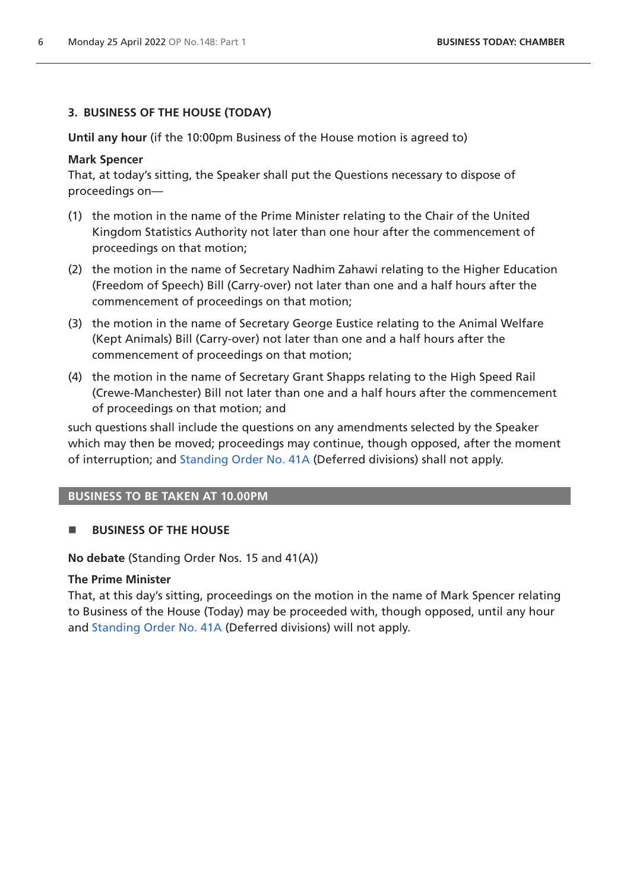# <span id="page-5-0"></span>**3. BUSINESS OF THE HOUSE (TODAY)**

**Until any hour** (if the 10:00pm Business of the House motion is agreed to)

# **Mark Spencer**

That, at today's sitting, the Speaker shall put the Questions necessary to dispose of proceedings on—

- (1) the motion in the name of the Prime Minister relating to the Chair of the United Kingdom Statistics Authority not later than one hour after the commencement of proceedings on that motion;
- (2) the motion in the name of Secretary Nadhim Zahawi relating to the Higher Education (Freedom of Speech) Bill (Carry-over) not later than one and a half hours after the commencement of proceedings on that motion;
- (3) the motion in the name of Secretary George Eustice relating to the Animal Welfare (Kept Animals) Bill (Carry-over) not later than one and a half hours after the commencement of proceedings on that motion;
- (4) the motion in the name of Secretary Grant Shapps relating to the High Speed Rail (Crewe-Manchester) Bill not later than one and a half hours after the commencement of proceedings on that motion; and

such questions shall include the questions on any amendments selected by the Speaker which may then be moved; proceedings may continue, though opposed, after the moment of interruption; and [Standing Order No. 41A](https://publications.parliament.uk/pa/cm5802/cmstords/so_804_2021/so-orders.html#so-41A) (Deferred divisions) shall not apply.

# **BUSINESS TO BE TAKEN AT 10.00PM**

# **BUSINESS OF THE HOUSE**

**No debate** (Standing Order Nos. 15 and 41(A))

# **The Prime Minister**

That, at this day's sitting, proceedings on the motion in the name of Mark Spencer relating to Business of the House (Today) may be proceeded with, though opposed, until any hour and [Standing Order No. 41A](https://publications.parliament.uk/pa/cm5802/cmstords/so_804_2021/so-orders.html#so-41A) (Deferred divisions) will not apply.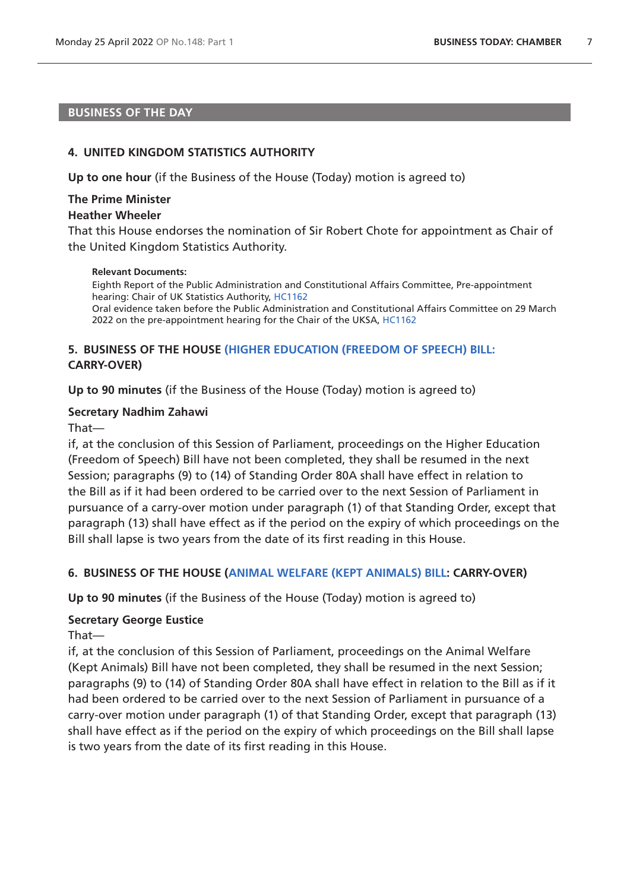# **BUSINESS OF THE DAY**

### <span id="page-6-0"></span>**4. UNITED KINGDOM STATISTICS AUTHORITY**

**Up to one hour** (if the Business of the House (Today) motion is agreed to)

### **The Prime Minister Heather Wheeler**

That this House endorses the nomination of Sir Robert Chote for appointment as Chair of the United Kingdom Statistics Authority.

### **Relevant Documents:**

<span id="page-6-1"></span>Eighth Report of the Public Administration and Constitutional Affairs Committee, Pre-appointment hearing: Chair of UK Statistics Authority, [HC1162](https://committees.parliament.uk/publications/9546/documents/161903/default/) Oral evidence taken before the Public Administration and Constitutional Affairs Committee on 29 March 2022 on the pre-appointment hearing for the Chair of the UKSA, [HC1162](https://committees.parliament.uk/oralevidence/10024/pdf/)

# **5. BUSINESS OF THE HOUSE [\(HIGHER EDUCATION \(FREEDOM OF SPEECH\) BILL:](https://publications.parliament.uk/pa/bills/cbill/58-02/0167/210923.pdf) CARRY-OVER)**

**Up to 90 minutes** (if the Business of the House (Today) motion is agreed to)

# **Secretary Nadhim Zahawi**

# That—

if, at the conclusion of this Session of Parliament, proceedings on the Higher Education (Freedom of Speech) Bill have not been completed, they shall be resumed in the next Session; paragraphs (9) to (14) of Standing Order 80A shall have effect in relation to the Bill as if it had been ordered to be carried over to the next Session of Parliament in pursuance of a carry-over motion under paragraph (1) of that Standing Order, except that paragraph (13) shall have effect as if the period on the expiry of which proceedings on the Bill shall lapse is two years from the date of its first reading in this House.

# <span id="page-6-2"></span>**6. BUSINESS OF THE HOUSE ([ANIMAL WELFARE \(KEPT ANIMALS\) BILL](https://publications.parliament.uk/pa/bills/cbill/58-02/0195/210195.pdf): CARRY-OVER)**

**Up to 90 minutes** (if the Business of the House (Today) motion is agreed to)

# **Secretary George Eustice**

# That—

if, at the conclusion of this Session of Parliament, proceedings on the Animal Welfare (Kept Animals) Bill have not been completed, they shall be resumed in the next Session; paragraphs (9) to (14) of Standing Order 80A shall have effect in relation to the Bill as if it had been ordered to be carried over to the next Session of Parliament in pursuance of a carry-over motion under paragraph (1) of that Standing Order, except that paragraph (13) shall have effect as if the period on the expiry of which proceedings on the Bill shall lapse is two years from the date of its first reading in this House.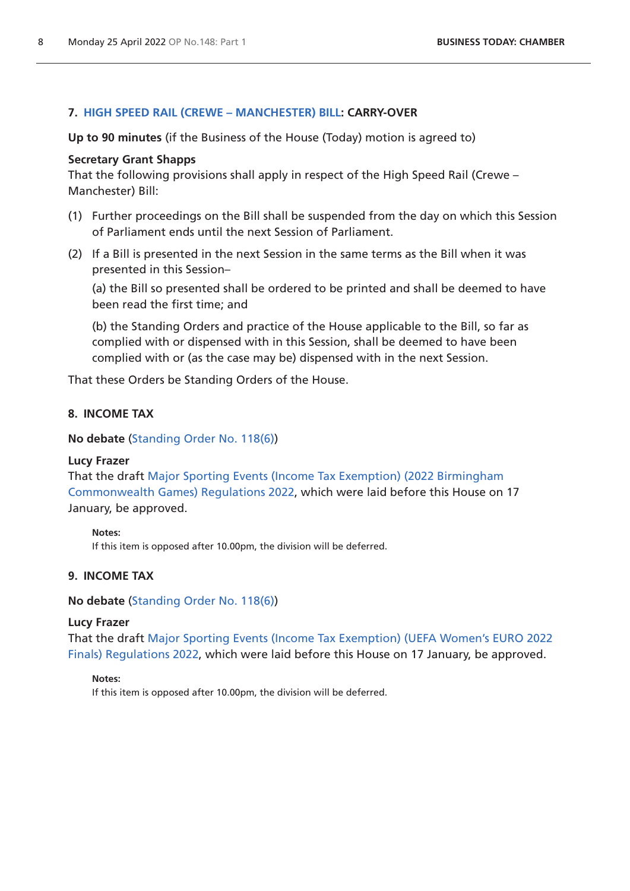# <span id="page-7-0"></span>**7. [HIGH SPEED RAIL \(CREWE – MANCHESTER\) BILL](https://publications.parliament.uk/pa/bills/cbill/58-02/0228/210228.pdf): CARRY-OVER**

**Up to 90 minutes** (if the Business of the House (Today) motion is agreed to)

# **Secretary Grant Shapps**

That the following provisions shall apply in respect of the High Speed Rail (Crewe – Manchester) Bill:

- (1) Further proceedings on the Bill shall be suspended from the day on which this Session of Parliament ends until the next Session of Parliament.
- (2) If a Bill is presented in the next Session in the same terms as the Bill when it was presented in this Session–

(a) the Bill so presented shall be ordered to be printed and shall be deemed to have been read the first time; and

(b) the Standing Orders and practice of the House applicable to the Bill, so far as complied with or dispensed with in this Session, shall be deemed to have been complied with or (as the case may be) dispensed with in the next Session.

That these Orders be Standing Orders of the House.

# **8. INCOME TAX**

**No debate** ([Standing Order No. 118\(6\)](https://publications.parliament.uk/pa/cm5802/cmstords/so_804_2021/so-orders.html#so-118_6))

# **Lucy Frazer**

That the draft [Major Sporting Events \(Income Tax Exemption\) \(2022 Birmingham](https://www.legislation.gov.uk/ukdsi/2022/9780348231120/pdfs/ukdsi_9780348231120_en.pdf)  [Commonwealth Games\) Regulations 2022](https://www.legislation.gov.uk/ukdsi/2022/9780348231120/pdfs/ukdsi_9780348231120_en.pdf), which were laid before this House on 17 January, be approved.

### **Notes:**

<span id="page-7-1"></span>If this item is opposed after 10.00pm, the division will be deferred.

# **9. INCOME TAX**

**No debate** ([Standing Order No. 118\(6\)](https://publications.parliament.uk/pa/cm5802/cmstords/so_804_2021/so-orders.html#so-118_6))

### **Lucy Frazer**

That the draft [Major Sporting Events \(Income Tax Exemption\) \(UEFA Women's EURO 2022](https://www.legislation.gov.uk/ukdsi/2022/9780348231168/pdfs/ukdsi_9780348231168_en.pdf)  [Finals\) Regulations 2022,](https://www.legislation.gov.uk/ukdsi/2022/9780348231168/pdfs/ukdsi_9780348231168_en.pdf) which were laid before this House on 17 January, be approved.

### **Notes:**

If this item is opposed after 10.00pm, the division will be deferred.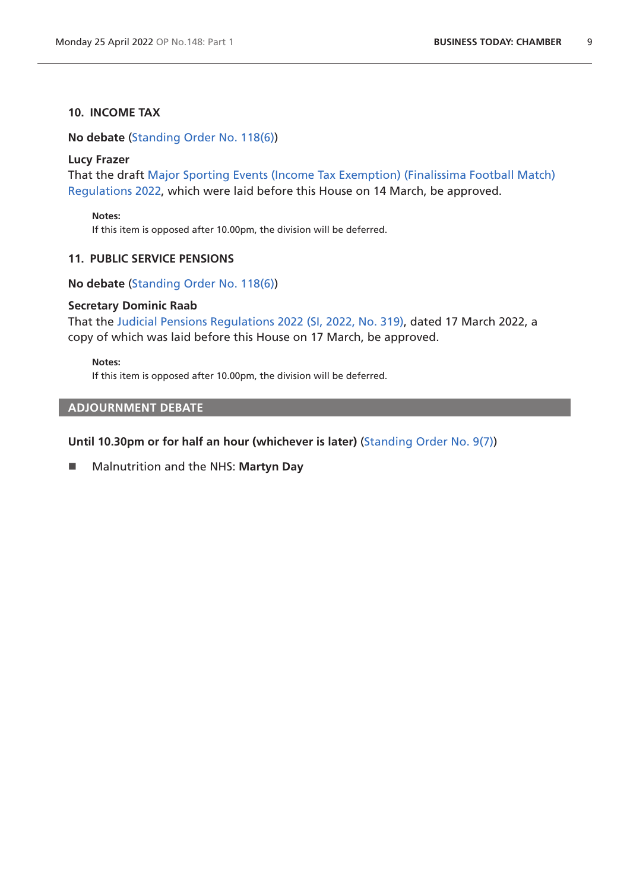# **10. INCOME TAX**

**No debate** ([Standing Order No. 118\(6\)](https://publications.parliament.uk/pa/cm5802/cmstords/so_804_2021/so-orders.html#so-118_6))

### **Lucy Frazer**

That the draft [Major Sporting Events \(Income Tax Exemption\) \(Finalissima Football Match\)](https://www.legislation.gov.uk/ukdsi/2022/9780348233155/pdfs/ukdsi_9780348233155_en.pdf)  [Regulations 2022](https://www.legislation.gov.uk/ukdsi/2022/9780348233155/pdfs/ukdsi_9780348233155_en.pdf), which were laid before this House on 14 March, be approved.

**Notes:**

If this item is opposed after 10.00pm, the division will be deferred.

# **11. PUBLIC SERVICE PENSIONS**

**No debate** ([Standing Order No. 118\(6\)](https://publications.parliament.uk/pa/cm5802/cmstords/so_804_2021/so-orders.html#so-118_6))

### **Secretary Dominic Raab**

That the [Judicial Pensions Regulations 2022 \(SI, 2022, No. 319\),](https://www.legislation.gov.uk/uksi/2022/319/pdfs/uksi_20220319_en.pdf) dated 17 March 2022, a copy of which was laid before this House on 17 March, be approved.

**Notes:**

If this item is opposed after 10.00pm, the division will be deferred.

# <span id="page-8-0"></span>**ADJOURNMENT DEBATE**

# **Until 10.30pm or for half an hour (whichever is later)** [\(Standing Order No. 9\(7\)\)](https://publications.parliament.uk/pa/cm5802/cmstords/so_804_2021/so-orders.html#so-9_7)

Malnutrition and the NHS: **Martyn Day**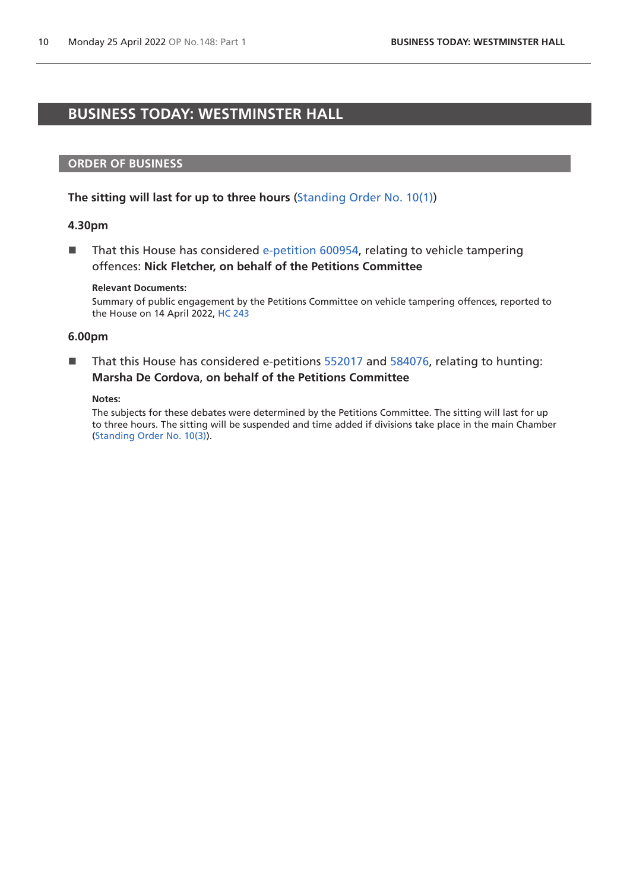# <span id="page-9-0"></span>**BUSINESS TODAY: WESTMINSTER HALL**

### **ORDER OF BUSINESS**

# **The sitting will last for up to three hours** [\(Standing Order No. 10\(1\)](https://publications.parliament.uk/pa/cm5802/cmstords/so_804_2021/so-orders.html#so-10_1))

### **4.30pm**

■ That this House has considered [e-petition 600954,](https://petition.parliament.uk/petitions/600954) relating to vehicle tampering offences: **Nick Fletcher, on behalf of the Petitions Committee**

#### **Relevant Documents:**

Summary of public engagement by the Petitions Committee on vehicle tampering offences, reported to the House on 14 April 2022, [HC 243](https://committees.parliament.uk/writtenevidence/107864/default/)

#### **6.00pm**

■ That this House has considered e-petitions [552017](https://petition.parliament.uk/petitions/552017) and [584076,](https://petition.parliament.uk/petitions/584076) relating to hunting: **Marsha De Cordova**, **on behalf of the Petitions Committee**

#### **Notes:**

The subjects for these debates were determined by the Petitions Committee. The sitting will last for up to three hours. The sitting will be suspended and time added if divisions take place in the main Chamber [\(Standing Order No. 10\(3\)](https://publications.parliament.uk/pa/cm5802/cmstords/so_804_2021/so-orders.html#so-10_3)).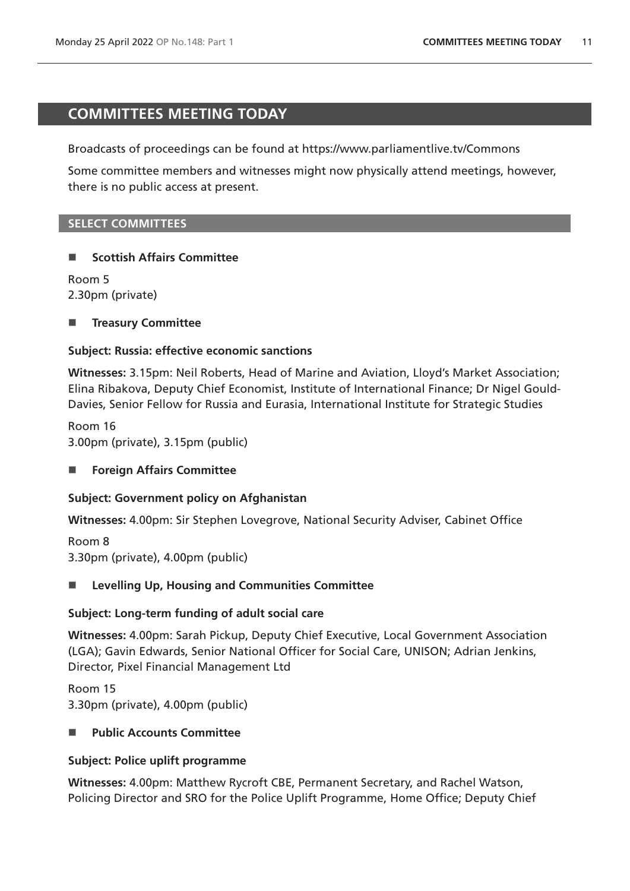# <span id="page-10-0"></span>**COMMITTEES MEETING TODAY**

Broadcasts of proceedings can be found at https://www.parliamentlive.tv/Commons

Some committee members and witnesses might now physically attend meetings, however, there is no public access at present.

# **SELECT COMMITTEES**

# ■ Scottish Affairs Committee

Room 5 2.30pm (private)

# **Treasury Committee**

# **Subject: Russia: effective economic sanctions**

**Witnesses:** 3.15pm: Neil Roberts, Head of Marine and Aviation, Lloyd's Market Association; Elina Ribakova, Deputy Chief Economist, Institute of International Finance; Dr Nigel Gould-Davies, Senior Fellow for Russia and Eurasia, International Institute for Strategic Studies

Room 16 3.00pm (private), 3.15pm (public)

■ Foreign Affairs Committee

# **Subject: Government policy on Afghanistan**

**Witnesses:** 4.00pm: Sir Stephen Lovegrove, National Security Adviser, Cabinet Office

Room 8 3.30pm (private), 4.00pm (public)

# **Levelling Up, Housing and Communities Committee**

# **Subject: Long-term funding of adult social care**

**Witnesses:** 4.00pm: Sarah Pickup, Deputy Chief Executive, Local Government Association (LGA); Gavin Edwards, Senior National Officer for Social Care, UNISON; Adrian Jenkins, Director, Pixel Financial Management Ltd

Room 15 3.30pm (private), 4.00pm (public)

# ■ Public Accounts Committee

# **Subject: Police uplift programme**

**Witnesses:** 4.00pm: Matthew Rycroft CBE, Permanent Secretary, and Rachel Watson, Policing Director and SRO for the Police Uplift Programme, Home Office; Deputy Chief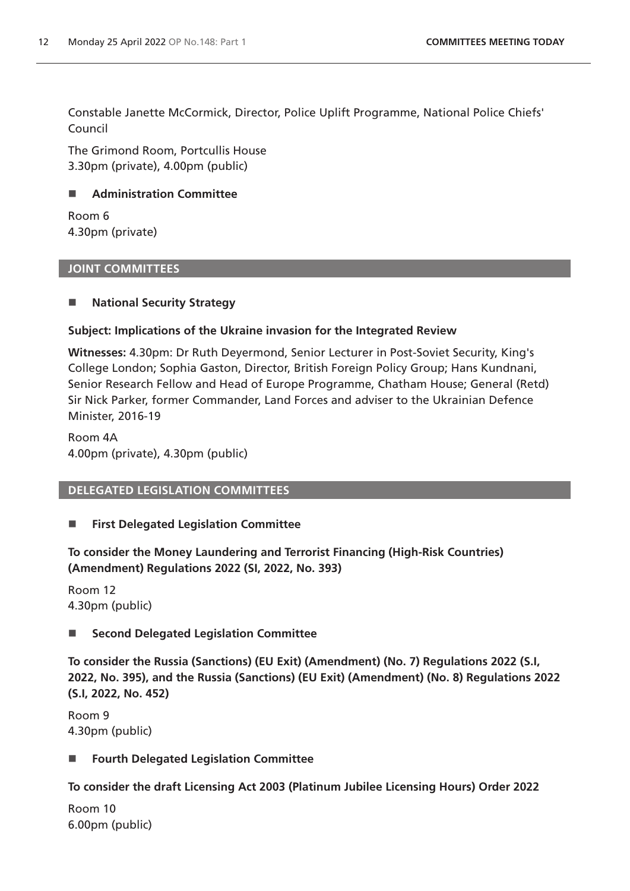Constable Janette McCormick, Director, Police Uplift Programme, National Police Chiefs' Council

The Grimond Room, Portcullis House 3.30pm (private), 4.00pm (public)

# **Administration Committee**

Room 6 4.30pm (private)

# **JOINT COMMITTEES**

# **National Security Strategy**

# **Subject: Implications of the Ukraine invasion for the Integrated Review**

**Witnesses:** 4.30pm: Dr Ruth Deyermond, Senior Lecturer in Post-Soviet Security, King's College London; Sophia Gaston, Director, British Foreign Policy Group; Hans Kundnani, Senior Research Fellow and Head of Europe Programme, Chatham House; General (Retd) Sir Nick Parker, former Commander, Land Forces and adviser to the Ukrainian Defence Minister, 2016-19

Room 4A 4.00pm (private), 4.30pm (public)

# **DELEGATED LEGISLATION COMMITTEES**

# **First Delegated Legislation Committee**

**To consider the Money Laundering and Terrorist Financing (High-Risk Countries) (Amendment) Regulations 2022 (SI, 2022, No. 393)**

Room 12 4.30pm (public)

# ■ Second Delegated Legislation Committee

**To consider the Russia (Sanctions) (EU Exit) (Amendment) (No. 7) Regulations 2022 (S.I, 2022, No. 395), and the Russia (Sanctions) (EU Exit) (Amendment) (No. 8) Regulations 2022 (S.I, 2022, No. 452)**

Room 9 4.30pm (public)

# **Fourth Delegated Legislation Committee**

# **To consider the draft Licensing Act 2003 (Platinum Jubilee Licensing Hours) Order 2022**

Room 10 6.00pm (public)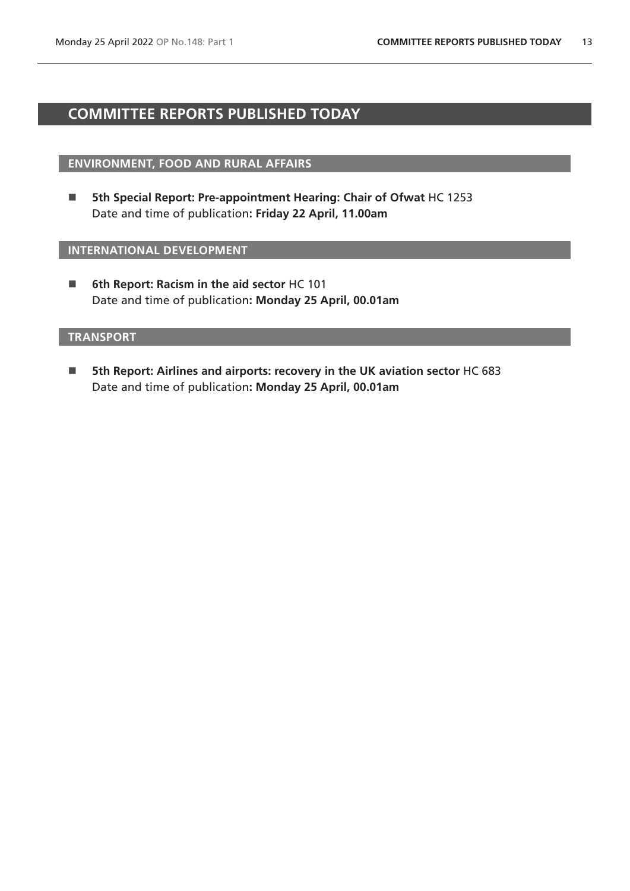# <span id="page-12-0"></span>**COMMITTEE REPORTS PUBLISHED TODAY**

# **ENVIRONMENT, FOOD AND RURAL AFFAIRS**

■ 5th Special Report: Pre-appointment Hearing: Chair of Ofwat HC 1253 Date and time of publication**: Friday 22 April, 11.00am**

# **INTERNATIONAL DEVELOPMENT**

 **6th Report: Racism in the aid sector** HC 101 Date and time of publication**: Monday 25 April, 00.01am**

# **TRANSPORT**

■ 5th Report: Airlines and airports: recovery in the UK aviation sector HC 683 Date and time of publication**: Monday 25 April, 00.01am**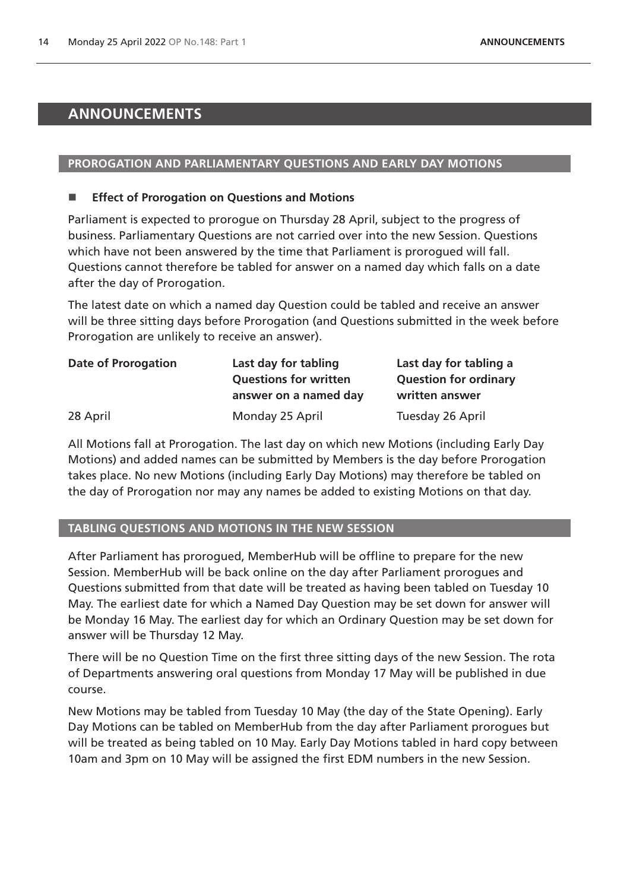# <span id="page-13-0"></span>**ANNOUNCEMENTS**

# **PROROGATION AND PARLIAMENTARY QUESTIONS AND EARLY DAY MOTIONS**

# ■ **Effect of Prorogation on Questions and Motions**

Parliament is expected to prorogue on Thursday 28 April, subject to the progress of business. Parliamentary Questions are not carried over into the new Session. Questions which have not been answered by the time that Parliament is prorogued will fall. Questions cannot therefore be tabled for answer on a named day which falls on a date after the day of Prorogation.

The latest date on which a named day Question could be tabled and receive an answer will be three sitting days before Prorogation (and Questions submitted in the week before Prorogation are unlikely to receive an answer).

| <b>Date of Prorogation</b> | Last day for tabling         | Last day for tabling a       |
|----------------------------|------------------------------|------------------------------|
|                            | <b>Questions for written</b> | <b>Question for ordinary</b> |
|                            | answer on a named day        | written answer               |
| 28 April                   | Monday 25 April              | Tuesday 26 April             |

All Motions fall at Prorogation. The last day on which new Motions (including Early Day Motions) and added names can be submitted by Members is the day before Prorogation takes place. No new Motions (including Early Day Motions) may therefore be tabled on the day of Prorogation nor may any names be added to existing Motions on that day.

# **TABLING QUESTIONS AND MOTIONS IN THE NEW SESSION**

After Parliament has prorogued, MemberHub will be offline to prepare for the new Session. MemberHub will be back online on the day after Parliament prorogues and Questions submitted from that date will be treated as having been tabled on Tuesday 10 May. The earliest date for which a Named Day Question may be set down for answer will be Monday 16 May. The earliest day for which an Ordinary Question may be set down for answer will be Thursday 12 May.

There will be no Question Time on the first three sitting days of the new Session. The rota of Departments answering oral questions from Monday 17 May will be published in due course.

New Motions may be tabled from Tuesday 10 May (the day of the State Opening). Early Day Motions can be tabled on MemberHub from the day after Parliament prorogues but will be treated as being tabled on 10 May. Early Day Motions tabled in hard copy between 10am and 3pm on 10 May will be assigned the first EDM numbers in the new Session.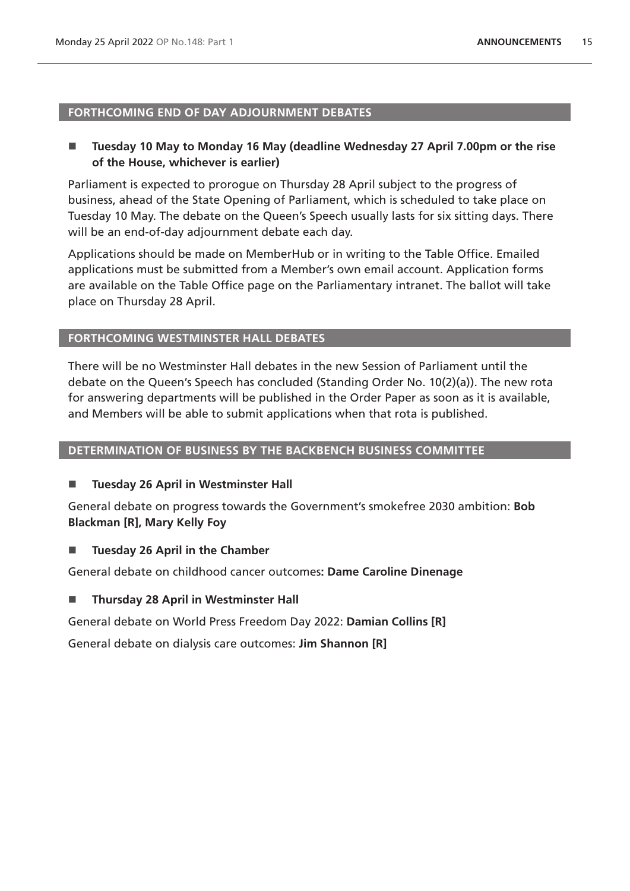### **FORTHCOMING END OF DAY ADJOURNMENT DEBATES**

# ■ Tuesday 10 May to Monday 16 May (deadline Wednesday 27 April 7.00pm or the rise **of the House, whichever is earlier)**

Parliament is expected to prorogue on Thursday 28 April subject to the progress of business, ahead of the State Opening of Parliament, which is scheduled to take place on Tuesday 10 May. The debate on the Queen's Speech usually lasts for six sitting days. There will be an end-of-day adjournment debate each day.

Applications should be made on MemberHub or in writing to the Table Office. Emailed applications must be submitted from a Member's own email account. Application forms are available on the Table Office page on the Parliamentary intranet. The ballot will take place on Thursday 28 April.

# **FORTHCOMING WESTMINSTER HALL DEBATES**

There will be no Westminster Hall debates in the new Session of Parliament until the debate on the Queen's Speech has concluded (Standing Order No. 10(2)(a)). The new rota for answering departments will be published in the Order Paper as soon as it is available, and Members will be able to submit applications when that rota is published.

### **DETERMINATION OF BUSINESS BY THE BACKBENCH BUSINESS COMMITTEE**

# **Tuesday 26 April in Westminster Hall**

General debate on progress towards the Government's smokefree 2030 ambition: **Bob Blackman [R], Mary Kelly Foy**

# **Tuesday 26 April in the Chamber**

General debate on childhood cancer outcomes**: Dame Caroline Dinenage**

**Thursday 28 April in Westminster Hall** 

General debate on World Press Freedom Day 2022: **Damian Collins [R]**

General debate on dialysis care outcomes: **Jim Shannon [R]**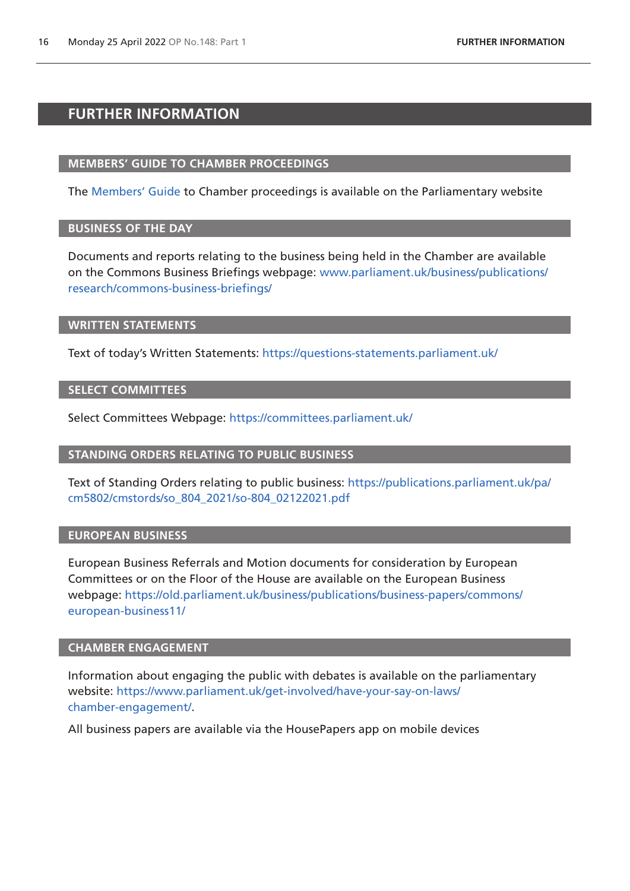# <span id="page-15-0"></span>**FURTHER INFORMATION**

### **MEMBERS' GUIDE TO CHAMBER PROCEEDINGS**

The [Members' Guide](https://guidetoprocedure.parliament.uk/mps-guide-to-procedure) to Chamber proceedings is available on the Parliamentary website

# **BUSINESS OF THE DAY**

Documents and reports relating to the business being held in the Chamber are available on the Commons Business Briefings webpage: [www.parliament.uk/business/publications/](http://www.parliament.uk/business/publications/research/commons-business-briefings/) [research/commons-business-briefings/](http://www.parliament.uk/business/publications/research/commons-business-briefings/)

### **WRITTEN STATEMENTS**

Text of today's Written Statements:<https://questions-statements.parliament.uk/>

### **SELECT COMMITTEES**

Select Committees Webpage: <https://committees.parliament.uk/>

### **STANDING ORDERS RELATING TO PUBLIC BUSINESS**

Text of Standing Orders relating to public business: [https://publications.parliament.uk/pa/](https://publications.parliament.uk/pa/cm5802/cmstords/so_804_2021/so-804_02122021.pdf) [cm5802/cmstords/so\\_804\\_2021/so-804\\_02122021.pdf](https://publications.parliament.uk/pa/cm5802/cmstords/so_804_2021/so-804_02122021.pdf)

# **EUROPEAN BUSINESS**

European Business Referrals and Motion documents for consideration by European Committees or on the Floor of the House are available on the European Business webpage: [https://old.parliament.uk/business/publications/business-papers/commons/](https://old.parliament.uk/business/publications/business-papers/commons/european-business11/) [european-business11/](https://old.parliament.uk/business/publications/business-papers/commons/european-business11/)

### **CHAMBER ENGAGEMENT**

Information about engaging the public with debates is available on the parliamentary website: [https://www.parliament.uk/get-involved/have-your-say-on-laws/](https://www.parliament.uk/get-involved/have-your-say-on-laws/chamber-engagement/) [chamber-engagement/.](https://www.parliament.uk/get-involved/have-your-say-on-laws/chamber-engagement/)

All business papers are available via the HousePapers app on mobile devices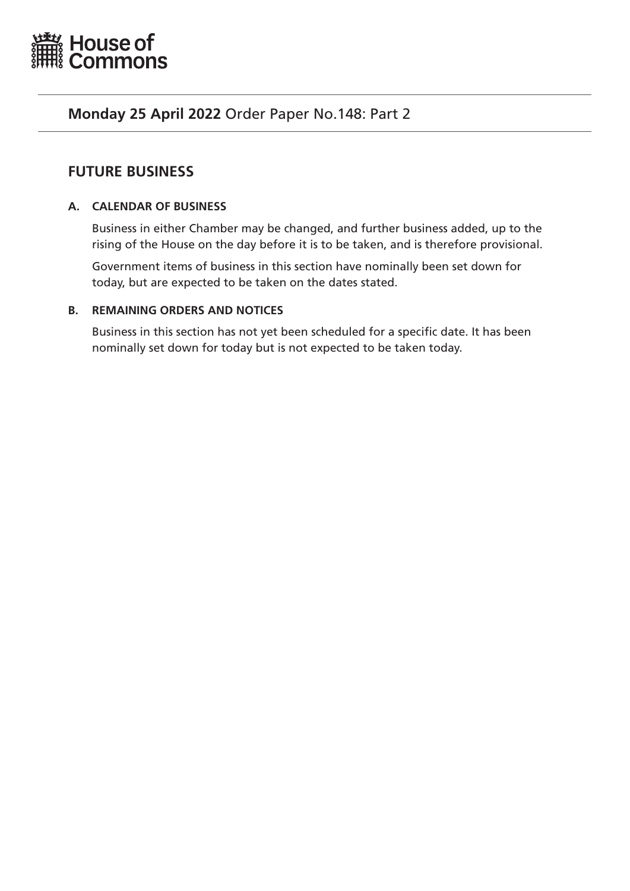<span id="page-16-0"></span>

# **Monday 25 April 2022** Order Paper No.148: Part 2

# **FUTURE BUSINESS**

# **A. CALENDAR OF BUSINESS**

Business in either Chamber may be changed, and further business added, up to the rising of the House on the day before it is to be taken, and is therefore provisional.

Government items of business in this section have nominally been set down for today, but are expected to be taken on the dates stated.

# **B. REMAINING ORDERS AND NOTICES**

Business in this section has not yet been scheduled for a specific date. It has been nominally set down for today but is not expected to be taken today.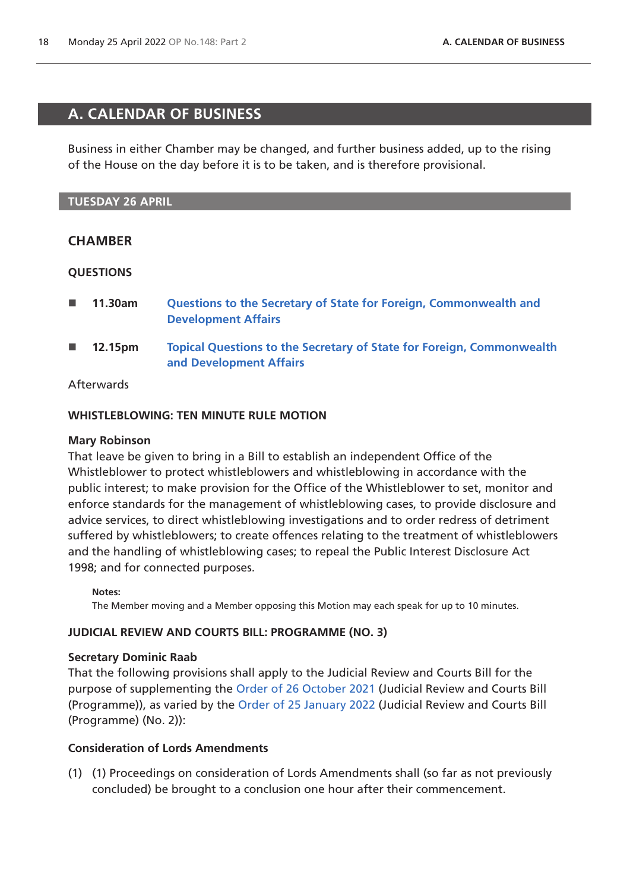# <span id="page-17-0"></span>**A. CALENDAR OF BUSINESS**

Business in either Chamber may be changed, and further business added, up to the rising of the House on the day before it is to be taken, and is therefore provisional.

# **TUESDAY 26 APRIL**

# **CHAMBER**

# **QUESTIONS**

- **11.30am [Questions to the Secretary of State for Foreign, Commonwealth and](https://commonsbusiness.parliament.uk/document/56352/html#anchor-4)  [Development Affairs](https://commonsbusiness.parliament.uk/document/56352/html#anchor-4)**
- **12.15pm [Topical Questions to the Secretary of State for Foreign, Commonwealth](https://commonsbusiness.parliament.uk/document/56352/html#anchor-5)  [and Development Affairs](https://commonsbusiness.parliament.uk/document/56352/html#anchor-5)**

# Afterwards

# **WHISTLEBLOWING: TEN MINUTE RULE MOTION**

# **Mary Robinson**

That leave be given to bring in a Bill to establish an independent Office of the Whistleblower to protect whistleblowers and whistleblowing in accordance with the public interest; to make provision for the Office of the Whistleblower to set, monitor and enforce standards for the management of whistleblowing cases, to provide disclosure and advice services, to direct whistleblowing investigations and to order redress of detriment suffered by whistleblowers; to create offences relating to the treatment of whistleblowers and the handling of whistleblowing cases; to repeal the Public Interest Disclosure Act 1998; and for connected purposes.

**Notes:**

The Member moving and a Member opposing this Motion may each speak for up to 10 minutes.

# **JUDICIAL REVIEW AND COURTS BILL: PROGRAMME (NO. 3)**

# **Secretary Dominic Raab**

That the following provisions shall apply to the Judicial Review and Courts Bill for the purpose of supplementing the [Order of 26 October 2021](https://commonsbusiness.parliament.uk/document/50986/pdf) (Judicial Review and Courts Bill (Programme)), as varied by the [Order of 25 January 2022](https://commonsbusiness.parliament.uk/document/53701/pdf) (Judicial Review and Courts Bill (Programme) (No. 2)):

# **Consideration of Lords Amendments**

(1) (1) Proceedings on consideration of Lords Amendments shall (so far as not previously concluded) be brought to a conclusion one hour after their commencement.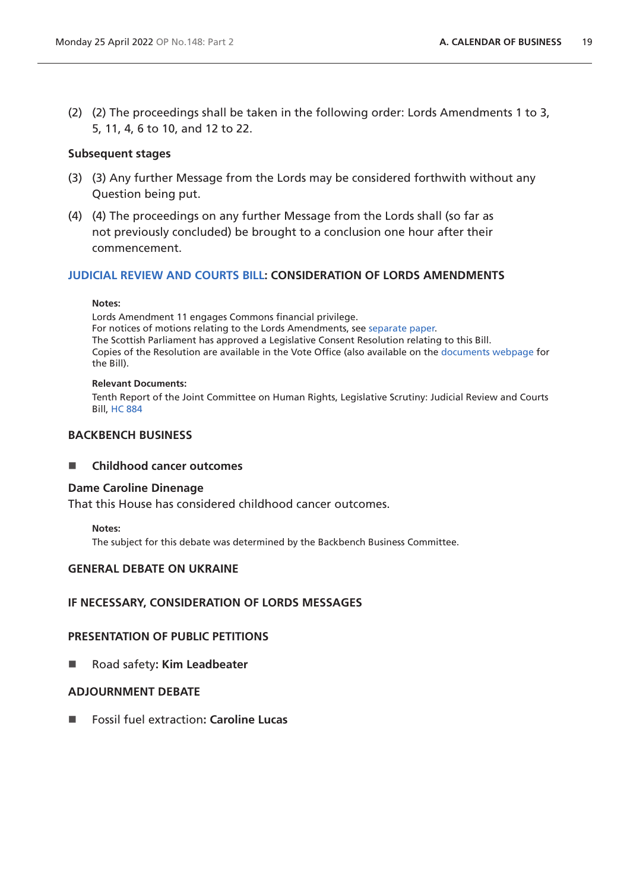(2) (2) The proceedings shall be taken in the following order: Lords Amendments 1 to 3, 5, 11, 4, 6 to 10, and 12 to 22.

# **Subsequent stages**

- (3) (3) Any further Message from the Lords may be considered forthwith without any Question being put.
- (4) (4) The proceedings on any further Message from the Lords shall (so far as not previously concluded) be brought to a conclusion one hour after their commencement.

# **[JUDICIAL REVIEW AND COURTS BILL:](https://publications.parliament.uk/pa/bills/cbill/58-02/0302/210302.pdf) CONSIDERATION OF LORDS AMENDMENTS**

### **Notes:**

Lords Amendment 11 engages Commons financial privilege. For notices of motions relating to the Lords Amendments, see [separate paper.](https://bills.parliament.uk/bills/3035/publications) The Scottish Parliament has approved a Legislative Consent Resolution relating to this Bill. Copies of the Resolution are available in the Vote Office (also available on the [documents webpage](https://bills.parliament.uk/bills/3035/publications) for the Bill).

### **Relevant Documents:**

Tenth Report of the Joint Committee on Human Rights, Legislative Scrutiny: Judicial Review and Courts Bill, [HC 884](https://committees.parliament.uk/publications/8105/documents/83261/default/)

# **BACKBENCH BUSINESS**

# **Childhood cancer outcomes**

# **Dame Caroline Dinenage**

That this House has considered childhood cancer outcomes.

**Notes:**

The subject for this debate was determined by the Backbench Business Committee.

# **GENERAL DEBATE ON UKRAINE**

# **IF NECESSARY, CONSIDERATION OF LORDS MESSAGES**

# **PRESENTATION OF PUBLIC PETITIONS**

■ Road safety: **Kim Leadbeater** 

# **ADJOURNMENT DEBATE**

Fossil fuel extraction**: Caroline Lucas**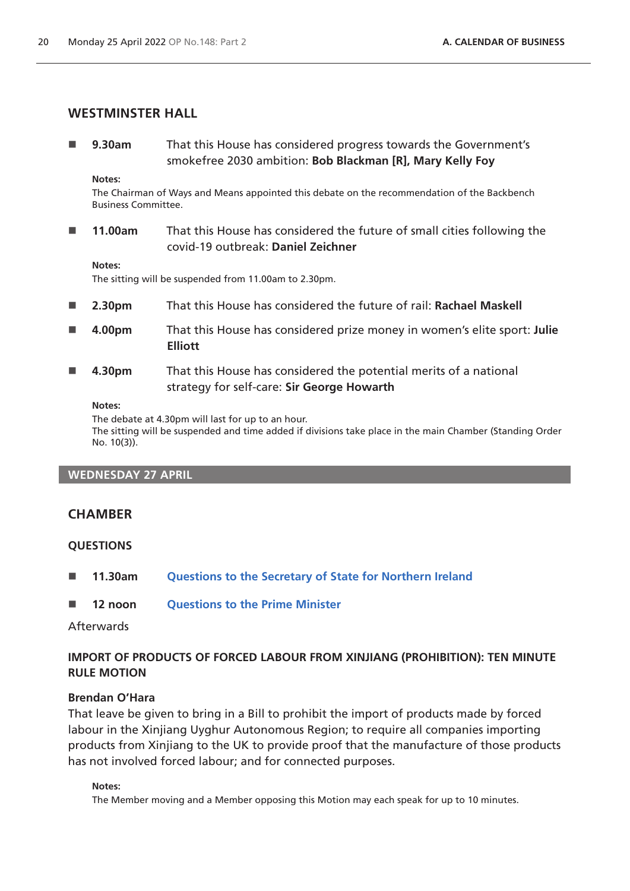# **WESTMINSTER HALL**

 **9.30am** That this House has considered progress towards the Government's smokefree 2030 ambition: **Bob Blackman [R], Mary Kelly Foy**

**Notes:**

The Chairman of Ways and Means appointed this debate on the recommendation of the Backbench Business Committee.

 **11.00am** That this House has considered the future of small cities following the covid-19 outbreak: **Daniel Zeichner**

#### **Notes:**

The sitting will be suspended from 11.00am to 2.30pm.

- **2.30pm** That this House has considered the future of rail: **Rachael Maskell**
- **4.00pm** That this House has considered prize money in women's elite sport: **Julie Elliott**
- **4.30pm** That this House has considered the potential merits of a national strategy for self-care: **Sir George Howarth**

**Notes:**

The debate at 4.30pm will last for up to an hour.

The sitting will be suspended and time added if divisions take place in the main Chamber (Standing Order No. 10(3)).

### **WEDNESDAY 27 APRIL**

# **CHAMBER**

### **QUESTIONS**

- **11.30am [Questions to the Secretary of State for Northern Ireland](https://commonsbusiness.parliament.uk/document/56352/html#anchor-7)**
- **12 noon [Questions to the Prime Minister](https://commonsbusiness.parliament.uk/document/56352/html#anchor-8)**

# Afterwards

# **IMPORT OF PRODUCTS OF FORCED LABOUR FROM XINJIANG (PROHIBITION): TEN MINUTE RULE MOTION**

### **Brendan O'Hara**

That leave be given to bring in a Bill to prohibit the import of products made by forced labour in the Xinjiang Uyghur Autonomous Region; to require all companies importing products from Xinjiang to the UK to provide proof that the manufacture of those products has not involved forced labour; and for connected purposes.

#### **Notes:**

The Member moving and a Member opposing this Motion may each speak for up to 10 minutes.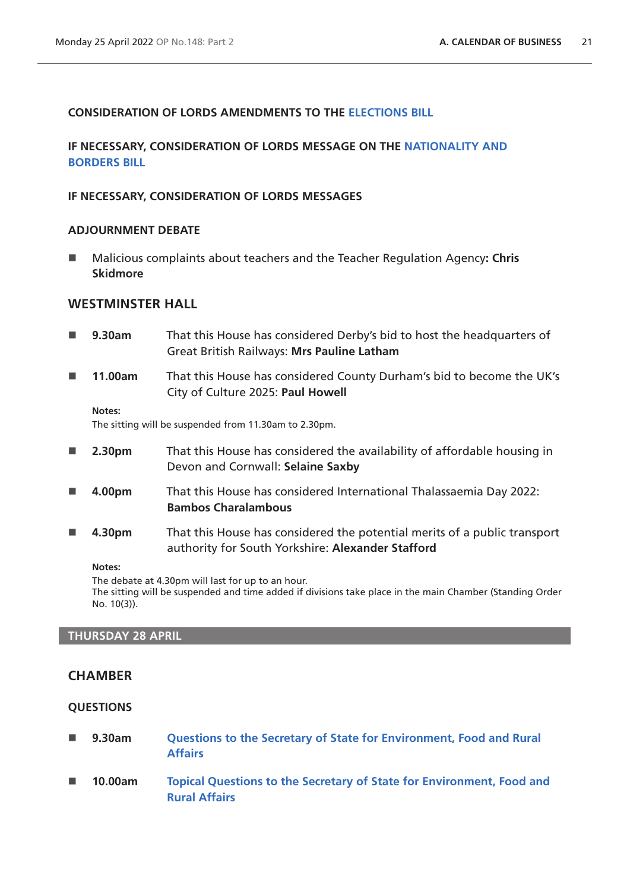# **CONSIDERATION OF LORDS AMENDMENTS TO THE [ELECTIONS BILL](https://bills.parliament.uk/bills/3020/publications)**

# **IF NECESSARY, CONSIDERATION OF LORDS MESSAGE ON THE [NATIONALITY AND](https://bills.parliament.uk/bills/3023)  [BORDERS BILL](https://bills.parliament.uk/bills/3023)**

# **IF NECESSARY, CONSIDERATION OF LORDS MESSAGES**

# **ADJOURNMENT DEBATE**

■ Malicious complaints about teachers and the Teacher Regulation Agency**: Chris Skidmore**

# **WESTMINSTER HALL**

 **9.30am** That this House has considered Derby's bid to host the headquarters of Great British Railways: **Mrs Pauline Latham 11.00am** That this House has considered County Durham's bid to become the UK's City of Culture 2025: **Paul Howell Notes:** The sitting will be suspended from 11.30am to 2.30pm. **2.30pm** That this House has considered the availability of affordable housing in Devon and Cornwall: **Selaine Saxby 4.00pm** That this House has considered International Thalassaemia Day 2022: **Bambos Charalambous 4.30pm** That this House has considered the potential merits of a public transport authority for South Yorkshire: **Alexander Stafford**

#### **Notes:**

The debate at 4.30pm will last for up to an hour. The sitting will be suspended and time added if divisions take place in the main Chamber (Standing Order No. 10(3)).

# **THURSDAY 28 APRIL**

# **CHAMBER**

### **QUESTIONS**

- **9.30am [Questions to the Secretary of State for Environment, Food and Rural](https://commonsbusiness.parliament.uk/document/56352/html#anchor-10)  [Affairs](https://commonsbusiness.parliament.uk/document/56352/html#anchor-10)**
- **10.00am [Topical Questions to the Secretary of State for Environment, Food and](https://commonsbusiness.parliament.uk/document/56352/html#anchor-11)  [Rural Affairs](https://commonsbusiness.parliament.uk/document/56352/html#anchor-11)**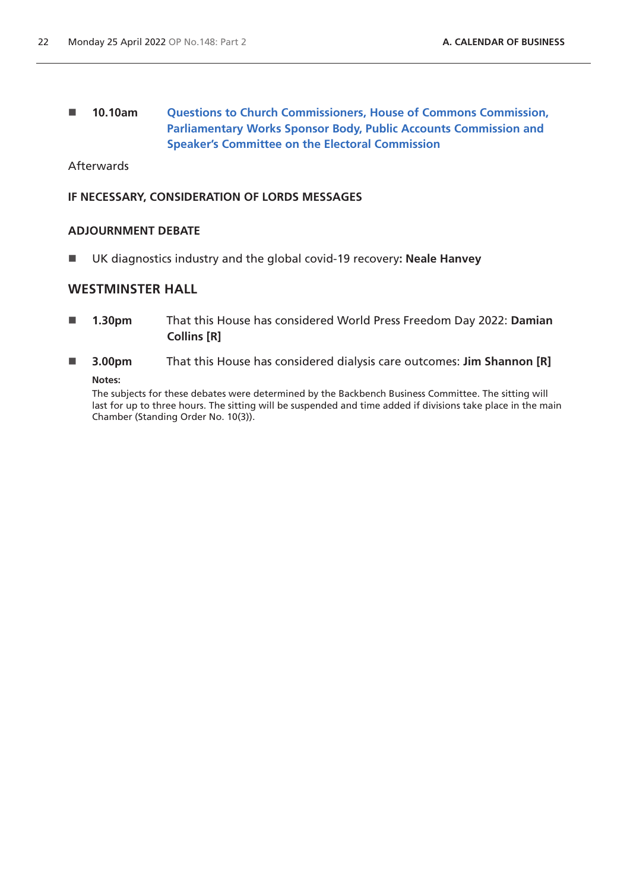# **10.10am [Questions to Church Commissioners, House of Commons Commission,](https://commonsbusiness.parliament.uk/document/56352/html#anchor-12)  [Parliamentary Works Sponsor Body, Public Accounts Commission and](https://commonsbusiness.parliament.uk/document/56352/html#anchor-12)  [Speaker's Committee on the Electoral Commission](https://commonsbusiness.parliament.uk/document/56352/html#anchor-12)**

**Afterwards** 

# **IF NECESSARY, CONSIDERATION OF LORDS MESSAGES**

# **ADJOURNMENT DEBATE**

UK diagnostics industry and the global covid-19 recovery**: Neale Hanvey**

# **WESTMINSTER HALL**

- **1.30pm** That this House has considered World Press Freedom Day 2022: **Damian Collins [R]**
- **3.00pm** That this House has considered dialysis care outcomes: **Jim Shannon [R] Notes:**

The subjects for these debates were determined by the Backbench Business Committee. The sitting will last for up to three hours. The sitting will be suspended and time added if divisions take place in the main Chamber (Standing Order No. 10(3)).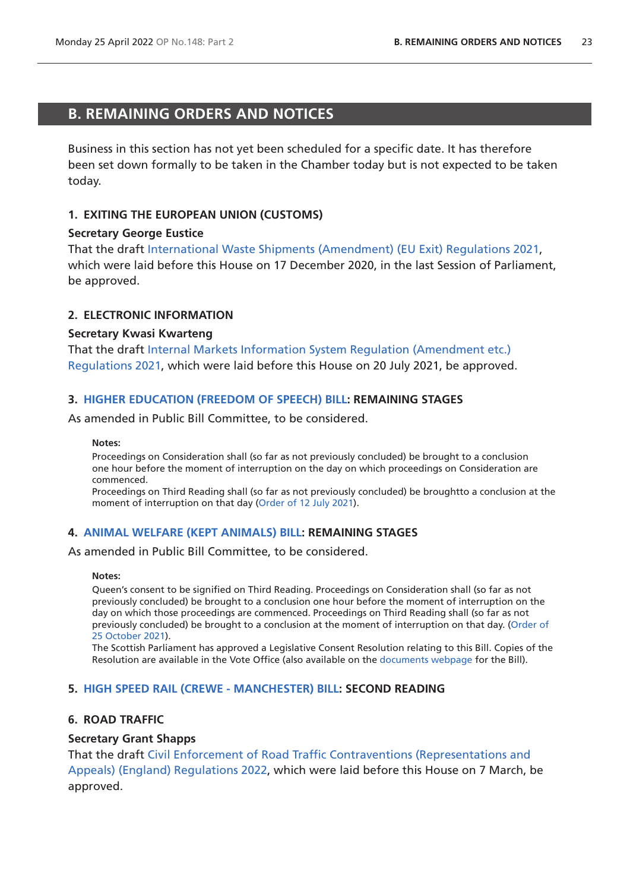# <span id="page-22-0"></span>**B. REMAINING ORDERS AND NOTICES**

Business in this section has not yet been scheduled for a specific date. It has therefore been set down formally to be taken in the Chamber today but is not expected to be taken today.

# **1. EXITING THE EUROPEAN UNION (CUSTOMS)**

# **Secretary George Eustice**

That the draft [International Waste Shipments \(Amendment\) \(EU Exit\) Regulations 2021,](https://www.legislation.gov.uk/ukdsi/2021/9780348217650/pdfs/ukdsi_9780348217650_en.pdf) which were laid before this House on 17 December 2020, in the last Session of Parliament, be approved.

# **2. ELECTRONIC INFORMATION**

### **Secretary Kwasi Kwarteng**

That the draft [Internal Markets Information System Regulation \(Amendment etc.\)](https://www.legislation.gov.uk/ukdsi/2021/9780348226126/pdfs/ukdsi_9780348226126_en.pdf)  [Regulations 2021](https://www.legislation.gov.uk/ukdsi/2021/9780348226126/pdfs/ukdsi_9780348226126_en.pdf), which were laid before this House on 20 July 2021, be approved.

# **3. [HIGHER EDUCATION \(FREEDOM OF SPEECH\) BILL](https://publications.parliament.uk/pa/bills/cbill/58-02/0167/210923.pdf): REMAINING STAGES**

As amended in Public Bill Committee, to be considered.

#### **Notes:**

Proceedings on Consideration shall (so far as not previously concluded) be brought to a conclusion one hour before the moment of interruption on the day on which proceedings on Consideration are commenced.

Proceedings on Third Reading shall (so far as not previously concluded) be broughtto a conclusion at the moment of interruption on that day ([Order of 12 July](https://commonsbusiness.parliament.uk/document/49375/pdf) 2021).

# **4. [ANIMAL WELFARE \(KEPT ANIMALS\) BILL](https://publications.parliament.uk/pa/bills/cbill/58-02/0195/210195.pdf): REMAINING STAGES**

As amended in Public Bill Committee, to be considered.

#### **Notes:**

Queen's consent to be signified on Third Reading. Proceedings on Consideration shall (so far as not previously concluded) be brought to a conclusion one hour before the moment of interruption on the day on which those proceedings are commenced. Proceedings on Third Reading shall (so far as not previously concluded) be brought to a conclusion at the moment of interruption on that day. ([Order of](https://commonsbusiness.parliament.uk/document/50975/pdf)  [25 October 2021](https://commonsbusiness.parliament.uk/document/50975/pdf)).

The Scottish Parliament has approved a Legislative Consent Resolution relating to this Bill. Copies of the Resolution are available in the Vote Office (also available on the [documents webpage](https://bills.parliament.uk/bills/2880/publications) for the Bill).

### **5. [HIGH SPEED RAIL \(CREWE - MANCHESTER\) BILL](https://publications.parliament.uk/pa/bills/cbill/58-02/0228/210228.pdf): SECOND READING**

# **6. ROAD TRAFFIC**

### **Secretary Grant Shapps**

That the draft [Civil Enforcement of Road Traffic Contraventions \(Representations and](https://www.legislation.gov.uk/ukdsi/2022/9780348232752/pdfs/ukdsi_9780348232752_en.pdf)  [Appeals\) \(England\) Regulations 2022,](https://www.legislation.gov.uk/ukdsi/2022/9780348232752/pdfs/ukdsi_9780348232752_en.pdf) which were laid before this House on 7 March, be approved.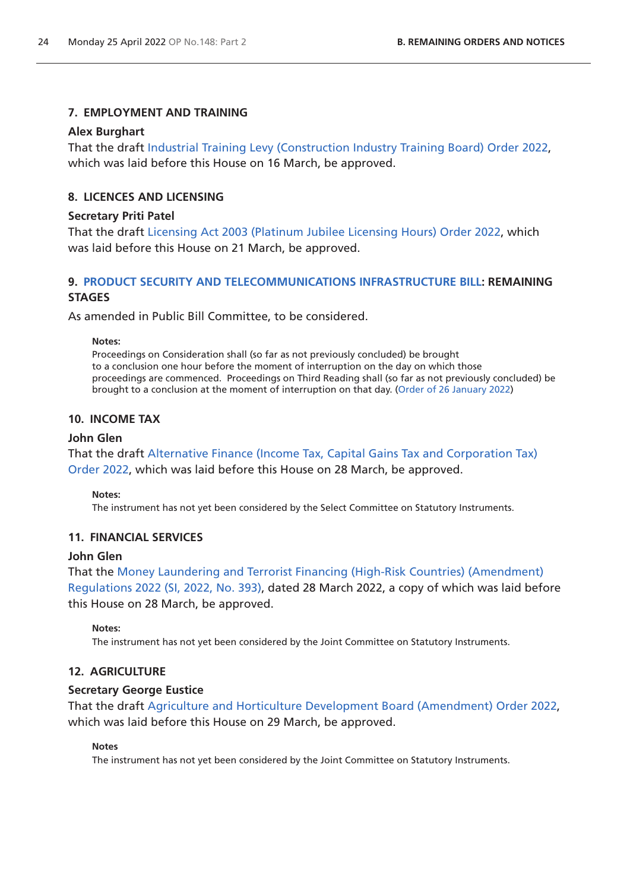# **7. EMPLOYMENT AND TRAINING**

# **Alex Burghart**

That the draft [Industrial Training Levy \(Construction Industry Training Board\) Order 2022](https://www.legislation.gov.uk/ukdsi/2022/9780348233391/pdfs/ukdsi_9780348233391_en.pdf), which was laid before this House on 16 March, be approved.

# **8. LICENCES AND LICENSING**

# **Secretary Priti Patel**

That the draft [Licensing Act 2003 \(Platinum Jubilee Licensing Hours\) Order 2022](https://www.legislation.gov.uk/ukdsi/2022/9780348233568/pdfs/ukdsi_9780348233568_en.pdf), which was laid before this House on 21 March, be approved.

# **9. [PRODUCT SECURITY AND TELECOMMUNICATIONS INFRASTRUCTURE BILL](https://publications.parliament.uk/pa/bills/cbill/58-02/0289/210289.pdf): REMAINING STAGES**

As amended in Public Bill Committee, to be considered.

### **Notes:**

Proceedings on Consideration shall (so far as not previously concluded) be brought to a conclusion one hour before the moment of interruption on the day on which those proceedings are commenced. Proceedings on Third Reading shall (so far as not previously concluded) be brought to a conclusion at the moment of interruption on that day. [\(Order of 26 January 2022](https://commonsbusiness.parliament.uk/document/53747/pdf))

# **10. INCOME TAX**

# **John Glen**

That the draft [Alternative Finance \(Income Tax, Capital Gains Tax and Corporation Tax\)](https://www.legislation.gov.uk/ukdsi/2022/9780348234022/pdfs/ukdsi_9780348234022_en.pdf)  [Order 2022,](https://www.legislation.gov.uk/ukdsi/2022/9780348234022/pdfs/ukdsi_9780348234022_en.pdf) which was laid before this House on 28 March, be approved.

# **Notes:**

The instrument has not yet been considered by the Select Committee on Statutory Instruments.

# **11. FINANCIAL SERVICES**

# **John Glen**

That the [Money Laundering and Terrorist Financing \(High-Risk Countries\) \(Amendment\)](https://www.legislation.gov.uk/uksi/2022/393/pdfs/uksi_20220393_en.pdf)  [Regulations 2022 \(SI, 2022, No. 393\)](https://www.legislation.gov.uk/uksi/2022/393/pdfs/uksi_20220393_en.pdf), dated 28 March 2022, a copy of which was laid before this House on 28 March, be approved.

# **Notes:**

The instrument has not yet been considered by the Joint Committee on Statutory Instruments.

# **12. AGRICULTURE**

# **Secretary George Eustice**

That the draft [Agriculture and Horticulture Development Board \(Amendment\) Order 2022](https://www.legislation.gov.uk/ukdsi/2022/9780348234138/pdfs/ukdsi_9780348234138_en.pdf), which was laid before this House on 29 March, be approved.

# **Notes**

The instrument has not yet been considered by the Joint Committee on Statutory Instruments.